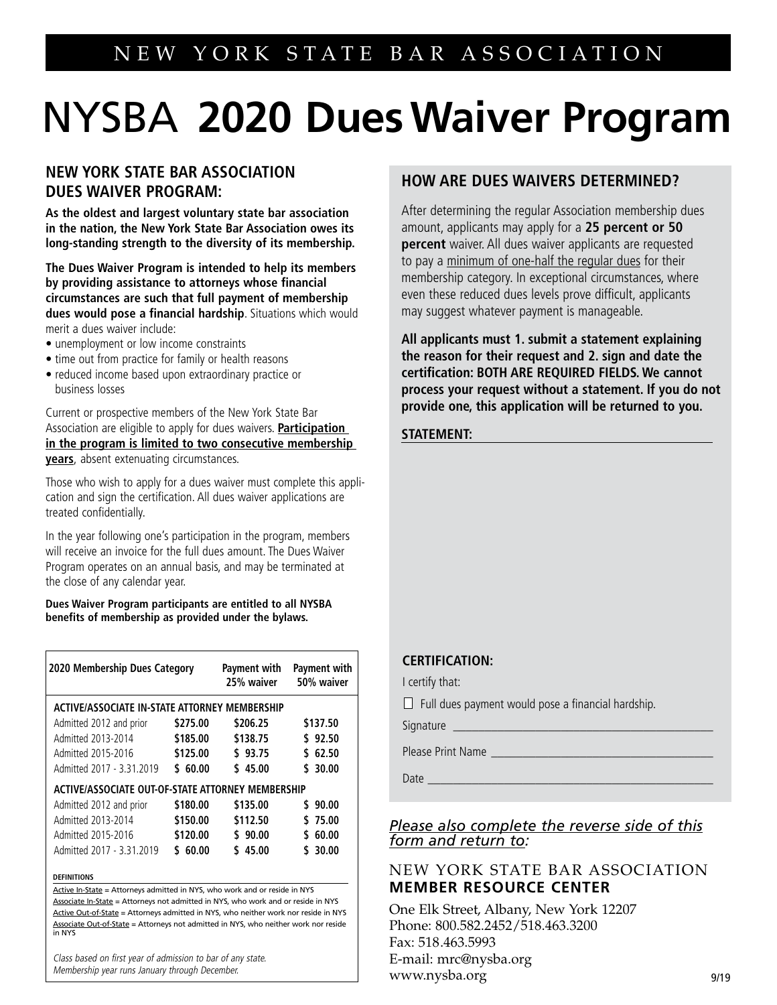# NYSBA **2020 DuesWaiver Program**

# **NEW YORK STATE BAR ASSOCIATION DUES WAIVER PROGRAM:**

**As the oldest and largest voluntary state bar association in the nation, the New York State Bar Association owes its long-standing strength to the diversity of its membership.**

**The Dues Waiver Program is intended to help its members by providing assistance to attorneys whose financial circumstances are such that full payment of membership dues would pose a financial hardship**. Situations which would merit a dues waiver include:

- unemployment or low income constraints
- time out from practice for family or health reasons
- reduced income based upon extraordinary practice or business losses

Current or prospective members of the New York State Bar Association are eligible to apply for dues waivers. **Participation in the program is limited to two consecutive membership years**, absent extenuating circumstances.

Those who wish to apply for a dues waiver must complete this application and sign the certification. All dues waiver applications are treated confidentially.

In the year following one's participation in the program, members will receive an invoice for the full dues amount. The Dues Waiver Program operates on an annual basis, and may be terminated at the close of any calendar year.

**Dues Waiver Program participants are entitled to all NYSBA benefits of membership as provided under the bylaws.** 

| 2020 Membership Dues Category                     |             | Payment with<br>25% waiver | Payment with<br>50% waiver |  |  |  |
|---------------------------------------------------|-------------|----------------------------|----------------------------|--|--|--|
| ACTIVE/ASSOCIATE IN-STATE ATTORNEY MEMBERSHIP     |             |                            |                            |  |  |  |
| Admitted 2012 and prior                           | \$275.00    | \$206.25                   | \$137.50                   |  |  |  |
| Admitted 2013-2014                                | \$185.00    | \$138.75                   | \$92.50                    |  |  |  |
| Admitted 2015-2016                                | \$125.00    | \$93.75                    | \$62.50                    |  |  |  |
| Admitted 2017 - 3.31.2019                         | \$60.00     | \$45.00                    | \$30.00                    |  |  |  |
| ACTIVE/ASSOCIATE OUT-OF-STATE ATTORNEY MEMBERSHIP |             |                            |                            |  |  |  |
| Admitted 2012 and prior                           | \$180.00    | \$135.00                   | \$90.00                    |  |  |  |
| Admitted 2013-2014                                | \$150.00    | \$112.50                   | \$75.00                    |  |  |  |
| Admitted 2015-2016                                | \$120.00    | \$90.00                    | 60.00<br>٢.                |  |  |  |
| Admitted 2017 - 3.31.2019                         | 60.00<br>٢. | \$45.00                    | \$30.00                    |  |  |  |
|                                                   |             |                            |                            |  |  |  |

**DEFINITIONS**

Active In-State = Attorneys admitted in NYS, who work and or reside in NYS Associate In-State = Attorneys not admitted in NYS, who work and or reside in NYS Active Out-of-State = Attorneys admitted in NYS, who neither work nor reside in NYS

Class based on first year of admission to bar of any state. Associate Out-of-State = Attorneys not admitted in NYS, who neither work nor reside in NYS

Membership year runs January through December.

# **HOW ARE DUES WAIVERS DETERMINED?**

After determining the regular Association membership dues amount, applicants may apply for a **25 percent or 50 percent** waiver. All dues waiver applicants are requested to pay a minimum of one-half the regular dues for their membership category. In exceptional circumstances, where even these reduced dues levels prove difficult, applicants may suggest whatever payment is manageable.

**All applicants must 1. submit a statement explaining the reason for their request and 2. sign and date the certification: BOTH ARE REQUIRED FIELDS. We cannot process your request without a statement. If you do not provide one, this application will be returned to you.**

### **STATEMENT:**

### **CERTIFICATION:**

I certify that:

 $\Box$  Full dues payment would pose a financial hardship.

Signature \_

Please Print Name

Date \_\_\_\_\_\_\_\_\_\_\_\_\_\_\_\_\_\_\_\_\_\_\_\_\_\_\_\_\_\_\_\_\_\_\_\_\_\_\_\_\_\_\_\_\_

## *Please also complete the reverse side of this form and return to:*

## NEW YORK STATE BAR ASSOCIATION **MEMBER RESOURCE CENTER**

One Elk Street, Albany, New York 12207 Phone: 800.582.2452/518.463.3200 Fax: 518.463.5993 E-mail: mrc@nysba.org www.nysba.org